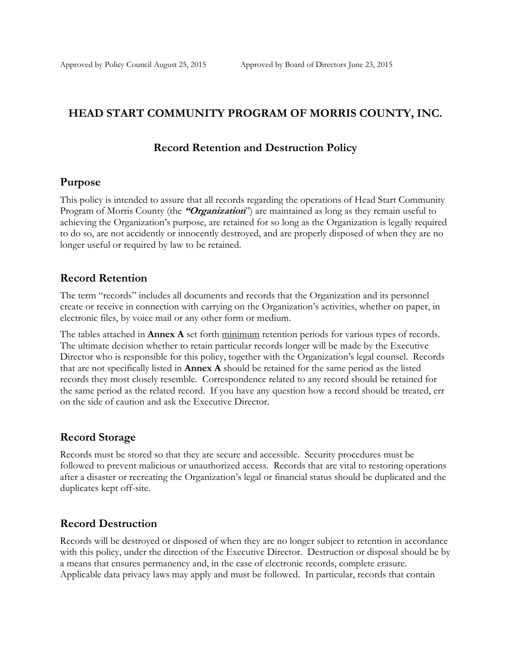### **HEAD START COMMUNITY PROGRAM OF MORRIS COUNTY, INC.**

#### **Record Retention and Destruction Policy**

#### **Purpose**

This policy is intended to assure that all records regarding the operations of Head Start Community Program of Morris County (the **"Organization**") are maintained as long as they remain useful to achieving the Organization's purpose, are retained for so long as the Organization is legally required to do so, are not accidently or innocently destroyed, and are properly disposed of when they are no longer useful or required by law to be retained.

#### **Record Retention**

The term "records" includes all documents and records that the Organization and its personnel create or receive in connection with carrying on the Organization's activities, whether on paper, in electronic files, by voice mail or any other form or medium.

The tables attached in **Annex A** set forth minimum retention periods for various types of records. The ultimate decision whether to retain particular records longer will be made by the Executive Director who is responsible for this policy, together with the Organization's legal counsel. Records that are not specifically listed in **Annex A** should be retained for the same period as the listed records they most closely resemble. Correspondence related to any record should be retained for the same period as the related record. If you have any question how a record should be treated, err on the side of caution and ask the Executive Director.

### **Record Storage**

Records must be stored so that they are secure and accessible. Security procedures must be followed to prevent malicious or unauthorized access. Records that are vital to restoring operations after a disaster or recreating the Organization's legal or financial status should be duplicated and the duplicates kept off-site.

### **Record Destruction**

Records will be destroyed or disposed of when they are no longer subject to retention in accordance with this policy, under the direction of the Executive Director. Destruction or disposal should be by a means that ensures permanency and, in the case of electronic records, complete erasure. Applicable data privacy laws may apply and must be followed. In particular, records that contain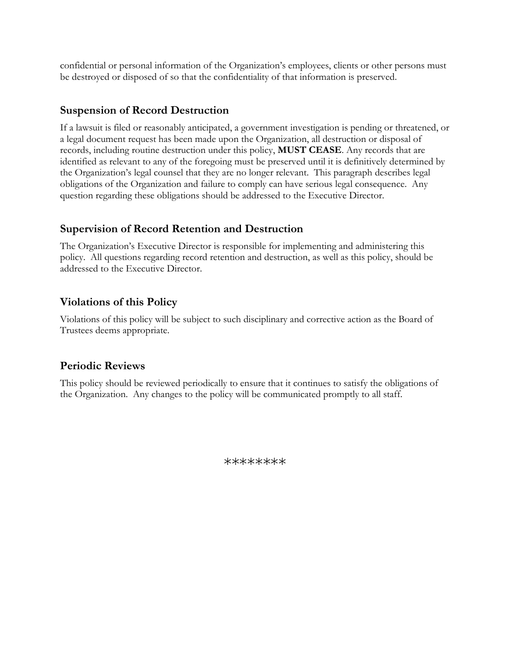confidential or personal information of the Organization's employees, clients or other persons must be destroyed or disposed of so that the confidentiality of that information is preserved.

## **Suspension of Record Destruction**

If a lawsuit is filed or reasonably anticipated, a government investigation is pending or threatened, or a legal document request has been made upon the Organization, all destruction or disposal of records, including routine destruction under this policy, **MUST CEASE**. Any records that are identified as relevant to any of the foregoing must be preserved until it is definitively determined by the Organization's legal counsel that they are no longer relevant. This paragraph describes legal obligations of the Organization and failure to comply can have serious legal consequence. Any question regarding these obligations should be addressed to the Executive Director.

## **Supervision of Record Retention and Destruction**

The Organization's Executive Director is responsible for implementing and administering this policy. All questions regarding record retention and destruction, as well as this policy, should be addressed to the Executive Director.

# **Violations of this Policy**

Violations of this policy will be subject to such disciplinary and corrective action as the Board of Trustees deems appropriate.

## **Periodic Reviews**

This policy should be reviewed periodically to ensure that it continues to satisfy the obligations of the Organization. Any changes to the policy will be communicated promptly to all staff.

\*\*\*\*\*\*\*\*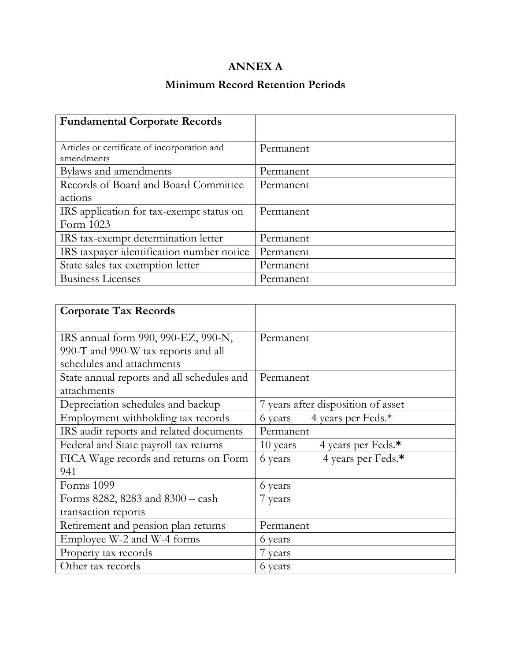# **ANNEX A**

# **Minimum Record Retention Periods**

| <b>Fundamental Corporate Records</b>         |           |
|----------------------------------------------|-----------|
|                                              |           |
| Articles or certificate of incorporation and | Permanent |
| amendments                                   |           |
| Bylaws and amendments                        | Permanent |
| Records of Board and Board Committee         | Permanent |
| actions                                      |           |
| IRS application for tax-exempt status on     | Permanent |
| Form 1023                                    |           |
| IRS tax-exempt determination letter          | Permanent |
| IRS taxpayer identification number notice    | Permanent |
| State sales tax exemption letter             | Permanent |
| <b>Business Licenses</b>                     | Permanent |

| <b>Corporate Tax Records</b>               |                                    |
|--------------------------------------------|------------------------------------|
|                                            |                                    |
| IRS annual form 990, 990-EZ, 990-N,        | Permanent                          |
| 990-T and 990-W tax reports and all        |                                    |
| schedules and attachments                  |                                    |
| State annual reports and all schedules and | Permanent                          |
| attachments                                |                                    |
| Depreciation schedules and backup          | 7 years after disposition of asset |
| Employment withholding tax records         | 4 years per Feds.*<br>6 years      |
| IRS audit reports and related documents    | Permanent                          |
| Federal and State payroll tax returns      | 10 years<br>4 years per Feds.*     |
| FICA Wage records and returns on Form      | 4 years per Feds.*<br>6 years      |
| 941                                        |                                    |
| Forms 1099                                 | 6 years                            |
| Forms 8282, 8283 and 8300 - cash           | 7 years                            |
| transaction reports                        |                                    |
| Retirement and pension plan returns        | Permanent                          |
| Employee W-2 and W-4 forms                 | 6 years                            |
| Property tax records                       | 7 years                            |
| Other tax records                          | 6 years                            |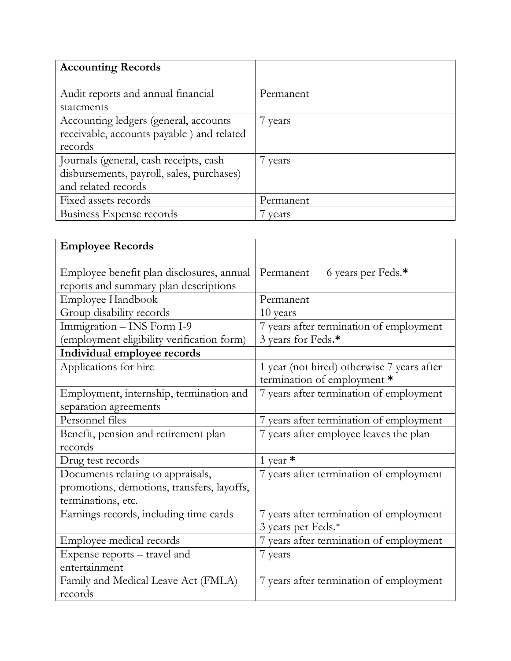| <b>Accounting Records</b>                  |           |
|--------------------------------------------|-----------|
|                                            |           |
| Audit reports and annual financial         | Permanent |
| statements                                 |           |
| Accounting ledgers (general, accounts      | 7 years   |
| receivable, accounts payable ) and related |           |
| records                                    |           |
| Journals (general, cash receipts, cash     | 7 years   |
| disbursements, payroll, sales, purchases)  |           |
| and related records                        |           |
| Fixed assets records                       | Permanent |
| Business Expense records                   | vears     |

| <b>Employee Records</b>                                                                               |                                                                           |
|-------------------------------------------------------------------------------------------------------|---------------------------------------------------------------------------|
| Employee benefit plan disclosures, annual<br>reports and summary plan descriptions                    | Permanent<br>6 years per Feds.*                                           |
| <b>Employee Handbook</b>                                                                              | Permanent                                                                 |
| Group disability records                                                                              | 10 years                                                                  |
| Immigration - INS Form I-9<br>(employment eligibility verification form)                              | 7 years after termination of employment<br>3 years for Feds.*             |
| Individual employee records                                                                           |                                                                           |
| Applications for hire                                                                                 | 1 year (not hired) otherwise 7 years after<br>termination of employment * |
| Employment, internship, termination and<br>separation agreements                                      | 7 years after termination of employment                                   |
| Personnel files                                                                                       | 7 years after termination of employment                                   |
| Benefit, pension and retirement plan<br>records                                                       | 7 years after employee leaves the plan                                    |
| Drug test records                                                                                     | 1 year $*$                                                                |
| Documents relating to appraisals,<br>promotions, demotions, transfers, layoffs,<br>terminations, etc. | 7 years after termination of employment                                   |
| Earnings records, including time cards                                                                | 7 years after termination of employment<br>3 years per Feds.*             |
| Employee medical records                                                                              | 7 years after termination of employment                                   |
| Expense reports - travel and<br>entertainment                                                         | 7 years                                                                   |
| Family and Medical Leave Act (FMLA)<br>records                                                        | 7 years after termination of employment                                   |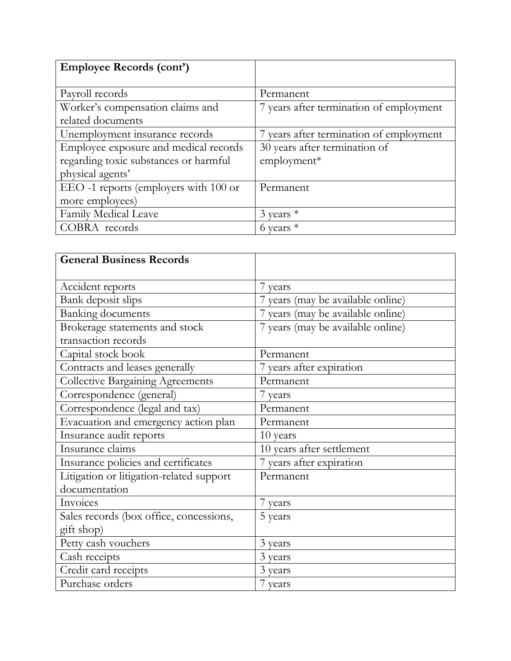| <b>Employee Records (cont')</b>       |                                         |
|---------------------------------------|-----------------------------------------|
|                                       |                                         |
| Payroll records                       | Permanent                               |
| Worker's compensation claims and      | 7 years after termination of employment |
| related documents                     |                                         |
| Unemployment insurance records        | 7 years after termination of employment |
| Employee exposure and medical records | 30 years after termination of           |
| regarding toxic substances or harmful | $employment*$                           |
| physical agents'                      |                                         |
| EEO -1 reports (employers with 100 or | Permanent                               |
| more employees)                       |                                         |
| Family Medical Leave                  | $3$ years $*$                           |
| COBRA records                         | 6 years $*$                             |

| <b>General Business Records</b>          |                                   |
|------------------------------------------|-----------------------------------|
| Accident reports                         | 7 years                           |
| Bank deposit slips                       | 7 years (may be available online) |
| <b>Banking documents</b>                 | 7 years (may be available online) |
| Brokerage statements and stock           | 7 years (may be available online) |
| transaction records                      |                                   |
| Capital stock book                       | Permanent                         |
| Contracts and leases generally           | 7 years after expiration          |
| <b>Collective Bargaining Agreements</b>  | Permanent                         |
| Correspondence (general)                 | 7 years                           |
| Correspondence (legal and tax)           | Permanent                         |
| Evacuation and emergency action plan     | Permanent                         |
| Insurance audit reports                  | 10 years                          |
| Insurance claims                         | 10 years after settlement         |
| Insurance policies and certificates      | 7 years after expiration          |
| Litigation or litigation-related support | Permanent                         |
| documentation                            |                                   |
| Invoices                                 | 7 years                           |
| Sales records (box office, concessions,  | 5 years                           |
| gift shop)                               |                                   |
| Petty cash vouchers                      | 3 years                           |
| Cash receipts                            | 3 years                           |
| Credit card receipts                     | 3 years                           |
| Purchase orders                          | 7 years                           |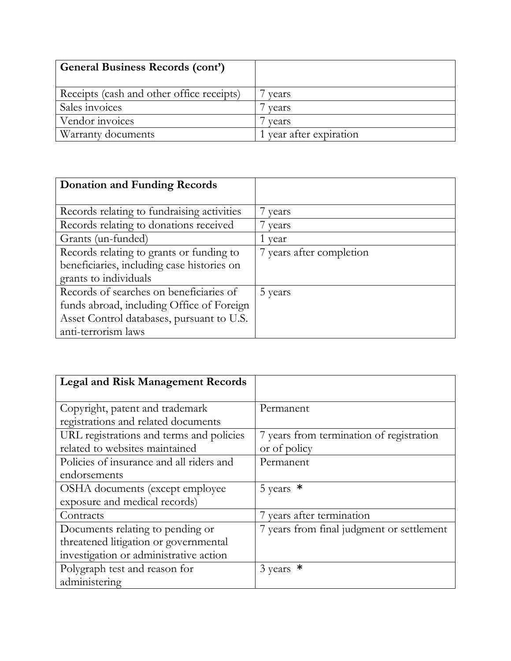| <b>General Business Records (cont')</b>   |                         |
|-------------------------------------------|-------------------------|
| Receipts (cash and other office receipts) | vears                   |
| Sales invoices                            | vears                   |
| Vendor invoices                           | vears                   |
| <b>Warranty documents</b>                 | 1 year after expiration |

| <b>Donation and Funding Records</b>        |                          |
|--------------------------------------------|--------------------------|
|                                            |                          |
| Records relating to fundraising activities | vears                    |
| Records relating to donations received     | years                    |
| Grants (un-funded)                         | year                     |
| Records relating to grants or funding to   | 7 years after completion |
| beneficiaries, including case histories on |                          |
| grants to individuals                      |                          |
| Records of searches on beneficiaries of    | 5 years                  |
| funds abroad, including Office of Foreign  |                          |
| Asset Control databases, pursuant to U.S.  |                          |
| anti-terrorism laws                        |                          |

| <b>Legal and Risk Management Records</b> |                                           |
|------------------------------------------|-------------------------------------------|
|                                          |                                           |
| Copyright, patent and trademark          | Permanent                                 |
| registrations and related documents      |                                           |
| URL registrations and terms and policies | 7 years from termination of registration  |
| related to websites maintained           | or of policy                              |
| Policies of insurance and all riders and | Permanent                                 |
| endorsements                             |                                           |
| OSHA documents (except employee)         | 5 years $*$                               |
| exposure and medical records)            |                                           |
| Contracts                                | 7 years after termination                 |
| Documents relating to pending or         | 7 years from final judgment or settlement |
| threatened litigation or governmental    |                                           |
| investigation or administrative action   |                                           |
| Polygraph test and reason for            | $3 \text{ years}$ *                       |
| administering                            |                                           |